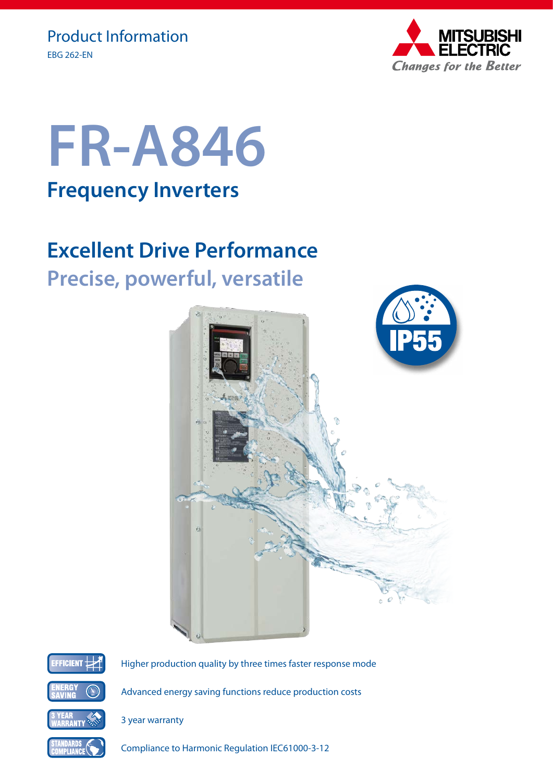



# **Excellent Drive Performance Precise, powerful, versatile**





Higher production quality by three times faster response mode

Advanced energy saving functions reduce production costs

Compliance to Harmonic Regulation IEC61000-3-12

3 year warranty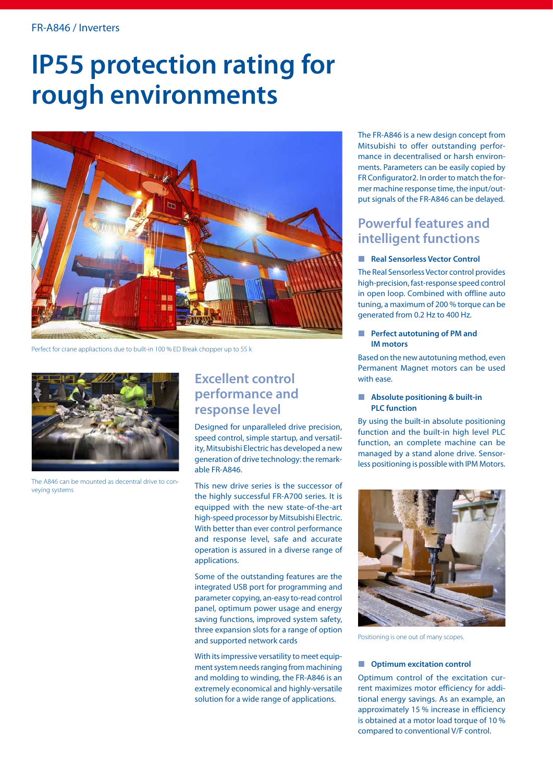# **IP55 protection rating for rough environments**



Perfect for crane appliactions due to built-in 100 % ED Break chopper up to 55 k



The A846 can be mounted as decentral drive to conveying systems

### **Excellent control performance and response level**

Designed for unparalleled drive precision, speed control, simple startup, and versatility, Mitsubishi Electric has developed a new generation of drive technology: the remarkable FR-A846.

This new drive series is the successor of the highly successful FR-A700 series. It is equipped with the new state-of-the-art high-speed processor by Mitsubishi Electric. With better than ever control performance and response level, safe and accurate operation is assured in a diverse range of applications.

Some of the outstanding features are the integrated USB port for programming and parameter copying, an-easy to-read control panel, optimum power usage and energy saving functions, improved system safety, three expansion slots for a range of option and supported network cards

With its impressive versatility to meet equipment system needs ranging from machining and molding to winding, the FR-A846 is an extremely economical and highly-versatile solution for a wide range of applications.

The FR-A846 is a new design concept from Mitsubishi to offer outstanding performance in decentralised or harsh environments. Parameters can be easily copied by FR Configurator2. In order to match the former machine response time, the input/output signals of the FR-A846 can be delayed.

### **Powerful features and intelligent functions**

### **Real Sensorless Vector Control**

The Real Sensorless Vector control provides high-precision, fast-response speed control in open loop. Combined with offline auto tuning, a maximum of 200 % torque can be generated from 0.2 Hz to 400 Hz.

#### **Perfect autotuning of PM and IM motors**

Based on the new autotuning method, even Permanent Magnet motors can be used with ease.

#### **Absolute positioning & built-in PLC function**

By using the built-in absolute positioning function and the built-in high level PLC function, an complete machine can be managed by a stand alone drive. Sensorless positioning is possible with IPM Motors.



Positioning is one out of many scopes.

#### $\blacksquare$  Optimum excitation control

Optimum control of the excitation current maximizes motor efficiency for additional energy savings. As an example, an approximately 15 % increase in efficiency is obtained at a motor load torque of 10 % compared to conventional V/F control.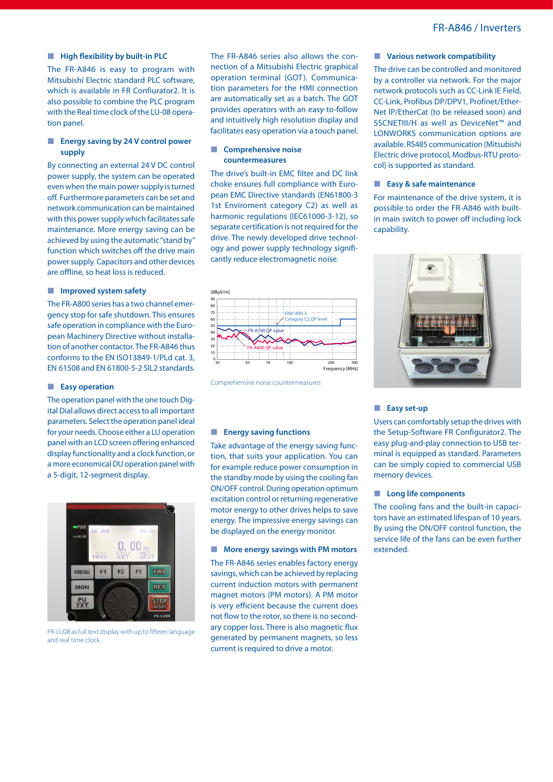#### **High flexibility by built-in PLC**

The FR-A846 is easy to program with Mitsubishi Electric standard PLC software, which is available in FR Confiurator2. It is also possible to combine the PLC program with the Real time clock of the LU-08 operation panel.

### **Energy saving by 24 V control power supply**

By connecting an external 24 V DC control power supply, the system can be operated even when the main power supply is turned off. Furthermore parameters can be set and network communication can be maintained with this power supply which facilitates safe maintenance. More energy saving can be achieved by using the automatic "stand by" function which switches off the drive main power supply. Capacitors and other devices are offline, so heat loss is reduced.

#### **Improved system safety**

The FR-A800 series has a two channel emergency stop for safe shutdown. This ensures safe operation in compliance with the European Machinery Directive without installation of another contactor. The FR-A846 thus conforms to the EN ISO13849-1/PLd cat. 3, EN 61508 and EN 61800-5-2 SIL2 standards.

#### **Easy operation**

The operation panel with the one touch Digital Dial allows direct access to all important parameters. Select the operation panel ideal for your needs. Choose either a LU operation panel with an LCD screen offering enhanced display functionality and a clock function, or a more economical DU operation panel with a 5-digit, 12-segment display.



FR-LU08 as full text display with up to fifteen language and real time clock.

The FR-A846 series also allows the connection of a Mitsubishi Electric graphical operation terminal (GOT). Communication parameters for the HMI connection are automatically set as a batch. The GOT provides operators with an easy-to-follow and intuitively high resolution display and facilitates easy operation via a touch panel.

#### **Comprehensive noise countermeasures**

The drive's built-in EMC filter and DC link choke ensures full compliance with European EMC Directive standards (EN61800-3 1st Enviroment category C2) as well as harmonic regulations (IEC61000-3-12), so separate certification is not required for the drive. The newly developed drive technology and power supply technology significantly reduce electromagnetic noise.



Comprehensive noise countermeasures

#### **Energy saving functions**

Take advantage of the energy saving function, that suits your application. You can for example reduce power consumption in the standby mode by using the cooling fan ON/OFF control. During operation optimum excitation control or returning regenerative motor energy to other drives helps to save energy. The impressive energy savings can be displayed on the energy monitor.

#### **More energy savings with PM motors**

The FR-A846 series enables factory energy savings, which can be achieved by replacing current induction motors with permanent magnet motors (PM motors). A PM motor is very efficient because the current does not flow to the rotor, so there is no secondary copper loss. There is also magnetic flux generated by permanent magnets, so less current is required to drive a motor.

#### **Various network compatibility**

The drive can be controlled and monitored by a controller via network. For the major network protocols such as CC-Link IE Field, CC-Link, Profibus DP/DPV1, Profinet/Ether-Net IP/EtherCat (to be released soon) and SSCNETIII/H as well as DeviceNet™ and LONWORKS communication options are available. RS485 communication (Mitsubishi Electric drive protocol, Modbus-RTU protocol) is supported as standard.

#### **Easy & safe maintenance**

For maintenance of the drive system, it is possible to order the FR-A846 with builtin main switch to power off including lock capability.



#### **Easy set-up**

Users can comfortably setup the drives with the Setup-Software FR Configurator2. The easy plug-and-play connection to USB terminal is equipped as standard. Parameters can be simply copied to commercial USB memory devices.

#### **Long life components**

The cooling fans and the built-in capacitors have an estimated lifespan of 10 years. By using the ON/OFF control function, the service life of the fans can be even further extended.